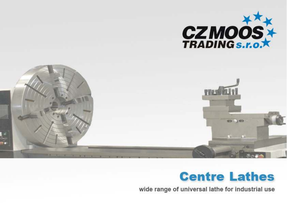

### **Centre Lathes**

wide range of universal lathe for industrial use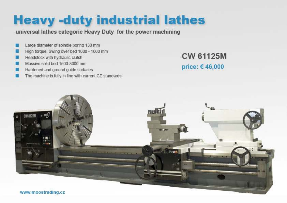### **Heavy -duty industrial lathes**

universal lathes categorie Heavy Duty for the power machining

- Large diameter of spindle boring 130 mm
- High torque, Swing over bed 1000 1600 mm
- Headstock with hydraulic clutch
- Massive solid bed 1500-8000 mm
- Hardened and ground guide surfaces
- The machine is fully in line with current CE standards

**CW 61125M** price: €46,000

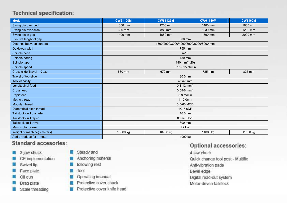| <b>Model</b>                | <b>CW61100M</b>                       | <b>CW61125M</b> | <b>CW61140M</b> | <b>CW1160M</b> |  |
|-----------------------------|---------------------------------------|-----------------|-----------------|----------------|--|
| Swing dia over bed          | 1000 mm                               | 1250 mm         | 1400 mm         | 1600 mm        |  |
| Swing dia over slide        | 630 mm                                | 880 mm          | 1030 mm         | 1230 mm        |  |
| Swing dia in gap            | 1400 mm                               | 1650 mm         | 1800 mm         | 2000 mm        |  |
| Efective lenght of gap      |                                       | 600 mm          |                 |                |  |
| Distance between centers    | 1500/2000/3000/4000/5000/6000/8000 mm |                 |                 |                |  |
| Guideway width              | 755 mm                                |                 |                 |                |  |
| Spindle nose                | $A-15$                                |                 |                 |                |  |
| Spindle boring              | 130 mm                                |                 |                 |                |  |
| Spindle taper               | 140 mm(1:20)                          |                 |                 |                |  |
| Spindle speed               | 3.15-315 ot/min                       |                 |                 |                |  |
| Cross slide Travel - X axe  | 580 mm                                | 670 mm          | 725 mm          | 825 mm         |  |
| Travel of top-slide         |                                       | 30 0mm          |                 |                |  |
| Tool capacity               | 45x45 mm                              |                 |                 |                |  |
| Longitudinal feed           | $0.1 - 12$ mm/r                       |                 |                 |                |  |
| Cross feed                  | $0.05 - 6$ mm/r                       |                 |                 |                |  |
| Rapidfeed                   | $3.8$ m/min                           |                 |                 |                |  |
| Metric thread               | 1-12 0mm                              |                 |                 |                |  |
| Modular thread              | 0.5-60 MOD                            |                 |                 |                |  |
| Diametrical pitch thread    | 1/2-5 6DP                             |                 |                 |                |  |
| Tailstock quill diameter    | 16 0mm                                |                 |                 |                |  |
| Tailstock quill taper       | 80 mm/1:20                            |                 |                 |                |  |
| Tailstock quill travel      | 300 mm                                |                 |                 |                |  |
| Main motor power            | 22 kW                                 |                 |                 |                |  |
| Weight of machine(3 meters) | 10000 kg                              | 10700 kg        | 11000 kg        | 11500 kg       |  |
| Add or reduce for 1 meter   | 1000 kg                               |                 |                 |                |  |

#### Standard accesories:

- 3-jaw chuck o
- CE implementation
- Swivel tip 醫
- Face plate
- Oil gun
- Drag plate
- Scale threading n
- Steady and
- Anchoring material
- following rest
- Tool
- Operating imanual
- Protective cover chuck
- **I'll** Protective cover knife head

#### Optional accessories:

4-jaw chuck Quick change tool post - Multifix Anti-vibration pads Bevel edge Digital read-out system Motor-driven tailstock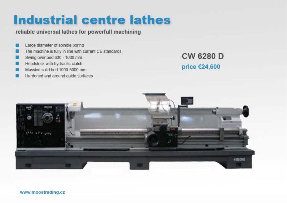# **Industrial centre lathes**

reliable universal lathes for powerfull machining

- Large diameter of spindle boring
- The machine is fully in line with current CE standards
- Swing over bed 630 1000 mm
- Headstock with hydraulic clutch
- Massive solid bed 1000-5000 mm
- Hardened and ground guide surfaces

**CW 6280 D** price €24,600

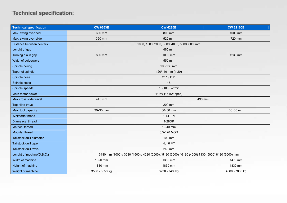| <b>Technical specification</b> | <b>CW 6263E</b>                                                                                   | <b>CW 6280E</b>                            | <b>CW 62100E</b> |  |
|--------------------------------|---------------------------------------------------------------------------------------------------|--------------------------------------------|------------------|--|
| Max. swing over bed            | 630 mm                                                                                            | 800 mm                                     | 1000 mm          |  |
| Max. swing over slide          | 350 mm                                                                                            | 520 mm                                     | 720 mm           |  |
| Distance between centers       |                                                                                                   | 1000, 1500, 2000, 3000, 4000, 5000, 6000mm |                  |  |
| Lenght of gap                  |                                                                                                   | 465 mm                                     |                  |  |
| Turning dia in gap             | 800 mm                                                                                            | 1000 mm                                    | 1230 mm          |  |
| Width of guideways             |                                                                                                   | 550 mm                                     |                  |  |
| Spindle boring                 | 105/130 mm                                                                                        |                                            |                  |  |
| Taper of spindle               | 120/140 mm (1:20)                                                                                 |                                            |                  |  |
| Spindle nose                   | C11 / D11                                                                                         |                                            |                  |  |
| Spindle steps                  | 18                                                                                                |                                            |                  |  |
| Spindle speeds                 | 7.5-1000 ot/min                                                                                   |                                            |                  |  |
| Main motor power               | 11kW (15 kW opce)                                                                                 |                                            |                  |  |
| Max.cross slide travel         | 445 mm                                                                                            | 493 mm                                     |                  |  |
| Top-slide travel               | 200 mm                                                                                            |                                            |                  |  |
| Max. tool capacity             | 30x30 mm                                                                                          | 30x30 mm                                   | 30x30 mm         |  |
| Whiteorth thread               | 1-14 TPI                                                                                          |                                            |                  |  |
| Diametrcal thread              | 1-28DP                                                                                            |                                            |                  |  |
| Metrical thread                | 1-240 mm                                                                                          |                                            |                  |  |
| Modular thread                 | 0,5-120 MOD                                                                                       |                                            |                  |  |
| Tailstock quill diameter       | 100 mm                                                                                            |                                            |                  |  |
| Tailstock quill taper          | No. 6 MT                                                                                          |                                            |                  |  |
| Tailstock quill travel         | 240 mm                                                                                            |                                            |                  |  |
| Lenght of machine(D.B.C.)      | 3180 mm (1000) / 3630 (1500) / 4230 (2000) / 5130 (3000) / 6130 (4000) 7130 (5000) 8130 (6000) mm |                                            |                  |  |
| Width of machine               | 1320 mm                                                                                           | 1360 mm                                    | 1470 mm          |  |
| Height of machine              | 1830 mm                                                                                           | 1830 mm                                    | 1830 mm          |  |
| Weight of machine              | 3550 - 6850 kg                                                                                    | 3730 - 7400kg                              | 4000 - 7800 kg   |  |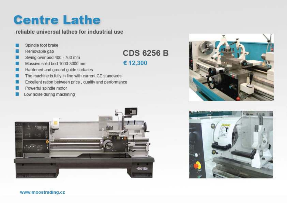# **Centre Lathe**

#### reliable universal lathes for industrial use

- Spindle foot brake
- Removable gap
- Swing over bed 400 760 mm
- Massive solid bed 1000-3000 mm
- Hardened and ground guide surfaces
- The machine is fully in line with current CE standards
- Excellent ration between price, quality and performance
- Powerful spindle motor
- Low noise during machining



### **CDS 6256 B**

€ 12,300





www.moostrading.cz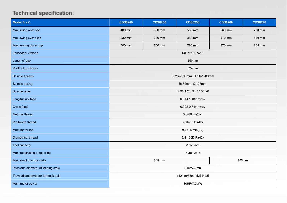| Model B a C                           | <b>CDS6240</b>               | <b>CDS6250</b> | <b>CDS6256</b>  | <b>CDS6266</b> | <b>CDS6276</b> |
|---------------------------------------|------------------------------|----------------|-----------------|----------------|----------------|
| Max.swing over bed                    | 400 mm                       | 500 mm         | 560 mm          | 660 mm         | 760 mm         |
| Max.swing over slide                  | 230 mm                       | 290 mm         | 350 mm          | 440 mm         | 540 mm         |
| Max.turning dia in gap                | 700 mm                       | 760 mm         | 790 mm          | 870 mm         | 965 mm         |
| Zakončení vřetena                     |                              |                | D8, or C8, A2-8 |                |                |
| Lengh of gap                          | 250mm                        |                |                 |                |                |
| Width of guideway                     | 394mm                        |                |                 |                |                |
| Soindle speeds                        | B: 26-2000rpm; C: 26-1700rpm |                |                 |                |                |
| Spindle boring                        | B: 82mm; C:105mm             |                |                 |                |                |
| Spindle taper                         | B: 90/1:20;?C: 110/1:20      |                |                 |                |                |
| Longitudinal feed                     | 0.044-1.48mm/rev             |                |                 |                |                |
| Cross feed                            | 0.022-0.74mm/rev             |                |                 |                |                |
| Metrical thread                       | $0.5 - 80$ mm $(37)$         |                |                 |                |                |
| Whitworth thread                      | 7/16-80 tpi(42)              |                |                 |                |                |
| Modular thread                        | $0.25 - 40$ mm $(32)$        |                |                 |                |                |
| Diametrical thread                    | 7/8-160D.P.(42)              |                |                 |                |                |
| Tool capacity                         | 25x25mm                      |                |                 |                |                |
| Max.travel/tilting of top slide       | 150mm/±45°                   |                |                 |                |                |
| Max.travel of cross slide             | 348 mm<br>355mm              |                |                 |                |                |
| Pitch and diameter of leading srew    | 12mm/40mm                    |                |                 |                |                |
| Travel/diameter/taper tailstock quill | 150mm/75mm/MT No.5           |                |                 |                |                |
| Main motor power                      | 10HP(7.5kW)                  |                |                 |                |                |